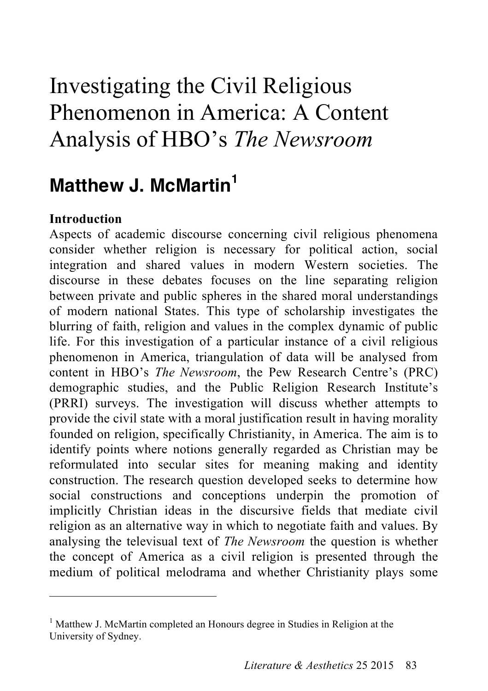# Investigating the Civil Religious Phenomenon in America: A Content Analysis of HBO's *The Newsroom*

# **Matthew J. McMartin<sup>1</sup>**

## **Introduction**

 $\overline{a}$ 

Aspects of academic discourse concerning civil religious phenomena consider whether religion is necessary for political action, social integration and shared values in modern Western societies. The discourse in these debates focuses on the line separating religion between private and public spheres in the shared moral understandings of modern national States. This type of scholarship investigates the blurring of faith, religion and values in the complex dynamic of public life. For this investigation of a particular instance of a civil religious phenomenon in America, triangulation of data will be analysed from content in HBO's *The Newsroom*, the Pew Research Centre's (PRC) demographic studies, and the Public Religion Research Institute's (PRRI) surveys. The investigation will discuss whether attempts to provide the civil state with a moral justification result in having morality founded on religion, specifically Christianity, in America. The aim is to identify points where notions generally regarded as Christian may be reformulated into secular sites for meaning making and identity construction. The research question developed seeks to determine how social constructions and conceptions underpin the promotion of implicitly Christian ideas in the discursive fields that mediate civil religion as an alternative way in which to negotiate faith and values. By analysing the televisual text of *The Newsroom* the question is whether the concept of America as a civil religion is presented through the medium of political melodrama and whether Christianity plays some

<sup>&</sup>lt;sup>1</sup> Matthew J. McMartin completed an Honours degree in Studies in Religion at the University of Sydney.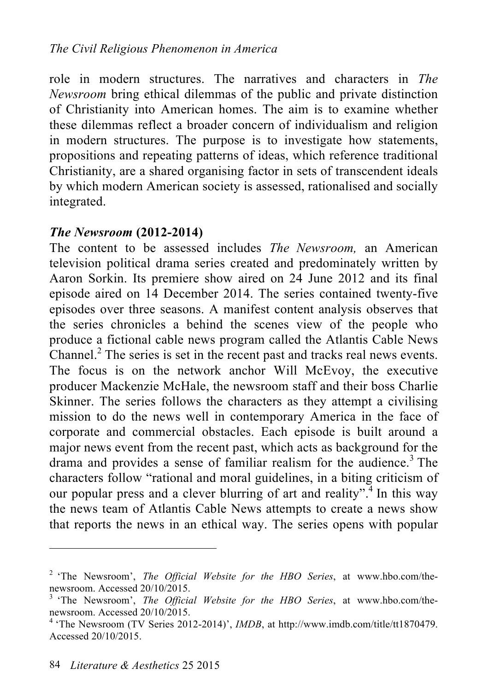role in modern structures. The narratives and characters in *The Newsroom* bring ethical dilemmas of the public and private distinction of Christianity into American homes. The aim is to examine whether these dilemmas reflect a broader concern of individualism and religion in modern structures. The purpose is to investigate how statements, propositions and repeating patterns of ideas, which reference traditional Christianity, are a shared organising factor in sets of transcendent ideals by which modern American society is assessed, rationalised and socially integrated.

# *The Newsroom* **(2012-2014)**

The content to be assessed includes *The Newsroom,* an American television political drama series created and predominately written by Aaron Sorkin. Its premiere show aired on 24 June 2012 and its final episode aired on 14 December 2014. The series contained twenty-five episodes over three seasons. A manifest content analysis observes that the series chronicles a behind the scenes view of the people who produce a fictional cable news program called the Atlantis Cable News Channel. 2 The series is set in the recent past and tracks real news events. The focus is on the network anchor Will McEvoy, the executive producer Mackenzie McHale, the newsroom staff and their boss Charlie Skinner. The series follows the characters as they attempt a civilising mission to do the news well in contemporary America in the face of corporate and commercial obstacles. Each episode is built around a major news event from the recent past, which acts as background for the drama and provides a sense of familiar realism for the audience.<sup>3</sup> The characters follow "rational and moral guidelines, in a biting criticism of our popular press and a clever blurring of art and reality". In this way the news team of Atlantis Cable News attempts to create a news show that reports the news in an ethical way. The series opens with popular

<sup>2</sup> 'The Newsroom', *The Official Website for the HBO Series*, at www.hbo.com/thenewsroom. Accessed 20/10/2015.<br><sup>3</sup> 'The Newsroom', *The Official Website for the HBO Series*, at www.hbo.com/the-

newsroom. Accessed 20/10/2015.<br><sup>4</sup> 'The Newsroom (TV Series 2012-2014)', *IMDB*, at http://www.imdb.com/title/tt1870479.

Accessed 20/10/2015.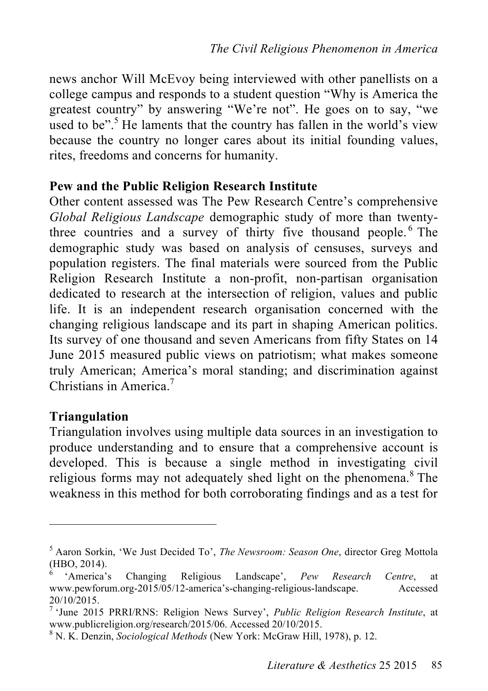news anchor Will McEvoy being interviewed with other panellists on a college campus and responds to a student question "Why is America the greatest country" by answering "We're not". He goes on to say, "we used to be".<sup>5</sup> He laments that the country has fallen in the world's view because the country no longer cares about its initial founding values, rites, freedoms and concerns for humanity.

#### **Pew and the Public Religion Research Institute**

Other content assessed was The Pew Research Centre's comprehensive *Global Religious Landscape* demographic study of more than twentythree countries and a survey of thirty five thousand people. 6 The demographic study was based on analysis of censuses, surveys and population registers. The final materials were sourced from the Public Religion Research Institute a non-profit, non-partisan organisation dedicated to research at the intersection of religion, values and public life. It is an independent research organisation concerned with the changing religious landscape and its part in shaping American politics. Its survey of one thousand and seven Americans from fifty States on 14 June 2015 measured public views on patriotism; what makes someone truly American; America's moral standing; and discrimination against Christians in America. 7

#### **Triangulation**

 $\overline{a}$ 

Triangulation involves using multiple data sources in an investigation to produce understanding and to ensure that a comprehensive account is developed. This is because a single method in investigating civil religious forms may not adequately shed light on the phenomena.<sup>8</sup> The weakness in this method for both corroborating findings and as a test for

<sup>5</sup> Aaron Sorkin, 'We Just Decided To', *The Newsroom: Season One*, director Greg Mottola (HBO, 2014).

<sup>6</sup> 'America's Changing Religious Landscape', *Pew Research Centre*, at www.pewforum.org-2015/05/12-america's-changing-religious-landscape. Accessed

<sup>20/10/2015.</sup> <sup>7</sup> 'June 2015 PRRI/RNS: Religion News Survey', *Public Religion Research Institute*, at www.publicreligion.org/research/2015/06. Accessed 20/10/2015.<br><sup>8</sup> N. K. Denzin, *Sociological Methods* (New York: McGraw Hill, 1978), p. 12.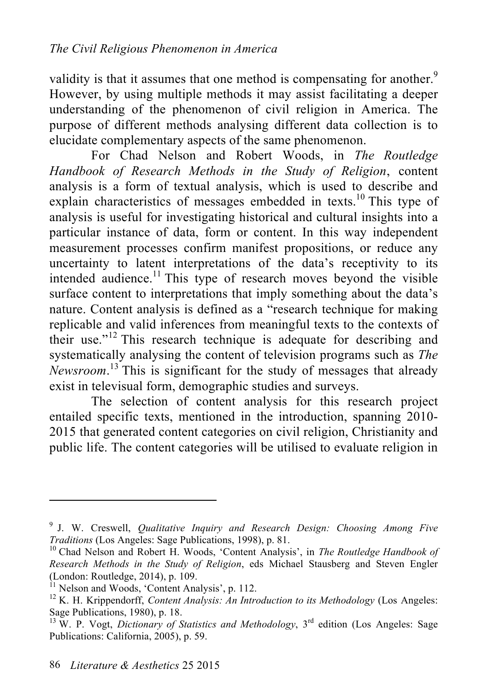validity is that it assumes that one method is compensating for another.<sup>9</sup> However, by using multiple methods it may assist facilitating a deeper understanding of the phenomenon of civil religion in America. The purpose of different methods analysing different data collection is to elucidate complementary aspects of the same phenomenon.

For Chad Nelson and Robert Woods, in *The Routledge Handbook of Research Methods in the Study of Religion*, content analysis is a form of textual analysis, which is used to describe and explain characteristics of messages embedded in texts.<sup>10</sup> This type of analysis is useful for investigating historical and cultural insights into a particular instance of data, form or content. In this way independent measurement processes confirm manifest propositions, or reduce any uncertainty to latent interpretations of the data's receptivity to its intended audience. 11 This type of research moves beyond the visible surface content to interpretations that imply something about the data's nature. Content analysis is defined as a "research technique for making replicable and valid inferences from meaningful texts to the contexts of their use."12 This research technique is adequate for describing and systematically analysing the content of television programs such as *The Newsroom*. 13 This is significant for the study of messages that already exist in televisual form, demographic studies and surveys.

The selection of content analysis for this research project entailed specific texts, mentioned in the introduction, spanning 2010- 2015 that generated content categories on civil religion, Christianity and public life. The content categories will be utilised to evaluate religion in

<sup>9</sup> J. W. Creswell, *Qualitative Inquiry and Research Design: Choosing Among Five Traditions* (Los Angeles: Sage Publications, 1998), p. 81.<br><sup>10</sup> Chad Nelson and Robert H. Woods, 'Content Analysis', in *The Routledge Handbook of* 

*Research Methods in the Study of Religion*, eds Michael Stausberg and Steven Engler

 $\hat{L}$ <sup>1</sup> Nelson and Woods, 'Content Analysis', p. 112.

<sup>&</sup>lt;sup>12</sup> K. H. Krippendorff, *Content Analysis: An Introduction to its Methodology* (Los Angeles: Sage Publications, 1980), p. 18.

<sup>&</sup>lt;sup>13</sup> W. P. Vogt, *Dictionary of Statistics and Methodology*,  $3^{rd}$  edition (Los Angeles: Sage Publications: California, 2005), p. 59.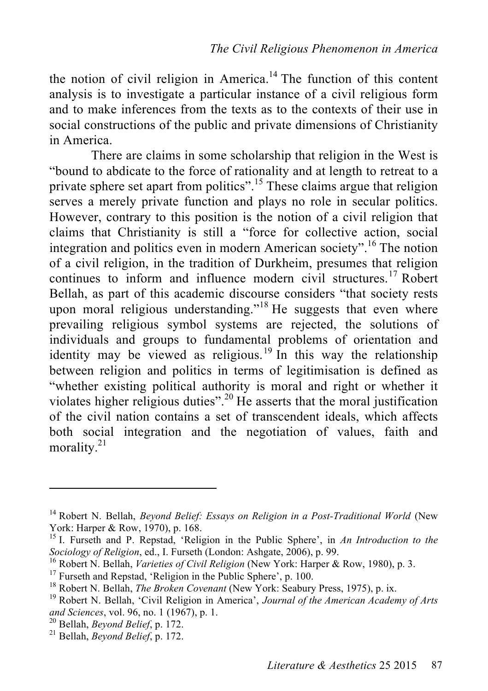the notion of civil religion in America.<sup>14</sup> The function of this content analysis is to investigate a particular instance of a civil religious form and to make inferences from the texts as to the contexts of their use in social constructions of the public and private dimensions of Christianity in America.

There are claims in some scholarship that religion in the West is "bound to abdicate to the force of rationality and at length to retreat to a private sphere set apart from politics".<sup>15</sup> These claims argue that religion serves a merely private function and plays no role in secular politics. However, contrary to this position is the notion of a civil religion that claims that Christianity is still a "force for collective action, social integration and politics even in modern American society". 16 The notion of a civil religion, in the tradition of Durkheim, presumes that religion continues to inform and influence modern civil structures.<sup>17</sup> Robert Bellah, as part of this academic discourse considers "that society rests upon moral religious understanding."<sup>18</sup> He suggests that even where prevailing religious symbol systems are rejected, the solutions of individuals and groups to fundamental problems of orientation and identity may be viewed as religious.<sup>19</sup> In this way the relationship between religion and politics in terms of legitimisation is defined as "whether existing political authority is moral and right or whether it violates higher religious duties". 20 He asserts that the moral justification of the civil nation contains a set of transcendent ideals, which affects both social integration and the negotiation of values, faith and morality. $21$ 

<sup>&</sup>lt;sup>14</sup> Robert N. Bellah, *Beyond Belief: Essays on Religion in a Post-Traditional World* (New York: Harper & Row, 1970), p. 168.

<sup>&</sup>lt;sup>15</sup> I. Furseth and P. Repstad, 'Religion in the Public Sphere', in *An Introduction to the* Sociology of Religion, ed., I. Furseth (London: Ashgate, 2006), p. 99.<br><sup>16</sup> Robert N. Bellah, *Varieties of Civil Religion* (New York: Harper & Row, 1980), p. 3.<br><sup>17</sup> Furseth and Repstad, 'Religion in the Public Sphere', p

*and Sciences*, vol. 96, no. 1 (1967), p. 1. 20 Bellah, *Beyond Belief*, p. 172. 21 Bellah, *Beyond Belief*, p. 172.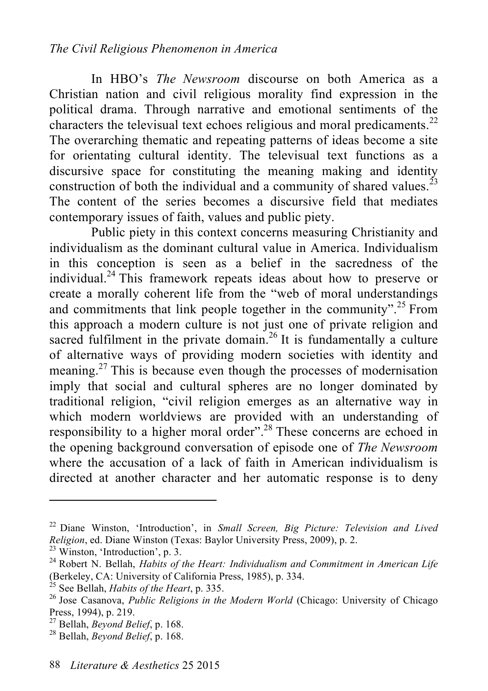In HBO's *The Newsroom* discourse on both America as a Christian nation and civil religious morality find expression in the political drama. Through narrative and emotional sentiments of the characters the televisual text echoes religious and moral predicaments.<sup>22</sup> The overarching thematic and repeating patterns of ideas become a site for orientating cultural identity. The televisual text functions as a discursive space for constituting the meaning making and identity construction of both the individual and a community of shared values.<sup>23</sup> The content of the series becomes a discursive field that mediates contemporary issues of faith, values and public piety.

Public piety in this context concerns measuring Christianity and individualism as the dominant cultural value in America. Individualism in this conception is seen as a belief in the sacredness of the individual. 24 This framework repeats ideas about how to preserve or create a morally coherent life from the "web of moral understandings and commitments that link people together in the community".<sup>25</sup> From this approach a modern culture is not just one of private religion and sacred fulfilment in the private domain.<sup>26</sup> It is fundamentally a culture of alternative ways of providing modern societies with identity and meaning.<sup>27</sup> This is because even though the processes of modernisation imply that social and cultural spheres are no longer dominated by traditional religion, "civil religion emerges as an alternative way in which modern worldviews are provided with an understanding of responsibility to a higher moral order".<sup>28</sup> These concerns are echoed in the opening background conversation of episode one of *The Newsroom* where the accusation of a lack of faith in American individualism is directed at another character and her automatic response is to deny

<sup>22</sup> Diane Winston, 'Introduction', in *Small Screen, Big Picture: Television and Lived Religion*, ed. Diane Winston (Texas: Baylor University Press, 2009), p. 2. <sup>23</sup> Winston, 'Introduction', p. 3.

<sup>24</sup> Robert N. Bellah, *Habits of the Heart: Individualism and Commitment in American Life*

<sup>(</sup>Berkeley, CA: University of California Press, 1985), p. 334.<br><sup>25</sup> See Bellah, *Habits of the Heart*, p. 335.<br><sup>26</sup> Jose Casanova, *Public Religions in the Modern World* (Chicago: University of Chicago<br>Press, 1994), p. 219.

Press, 1994), p. 219. 27 Bellah, *Beyond Belief*, p. 168. 28 Bellah, *Beyond Belief*, p. 168.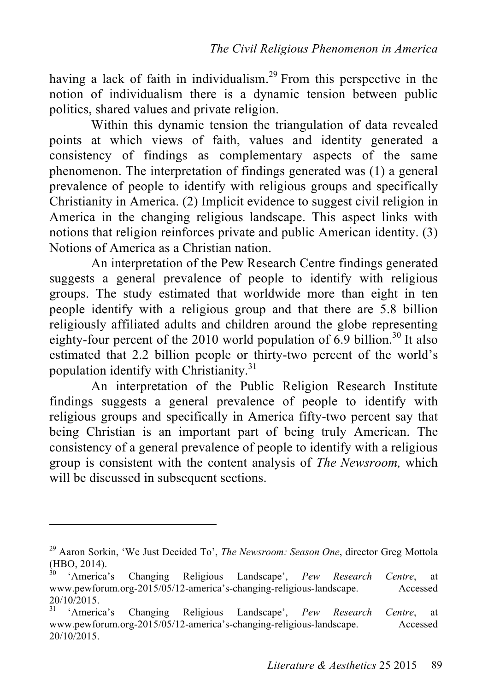having a lack of faith in individualism.<sup>29</sup> From this perspective in the notion of individualism there is a dynamic tension between public politics, shared values and private religion.

Within this dynamic tension the triangulation of data revealed points at which views of faith, values and identity generated a consistency of findings as complementary aspects of the same phenomenon. The interpretation of findings generated was (1) a general prevalence of people to identify with religious groups and specifically Christianity in America. (2) Implicit evidence to suggest civil religion in America in the changing religious landscape. This aspect links with notions that religion reinforces private and public American identity. (3) Notions of America as a Christian nation.

An interpretation of the Pew Research Centre findings generated suggests a general prevalence of people to identify with religious groups. The study estimated that worldwide more than eight in ten people identify with a religious group and that there are 5.8 billion religiously affiliated adults and children around the globe representing eighty-four percent of the 2010 world population of  $6.9$  billion.<sup>30</sup> It also estimated that 2.2 billion people or thirty-two percent of the world's population identify with Christianity.<sup>31</sup>

An interpretation of the Public Religion Research Institute findings suggests a general prevalence of people to identify with religious groups and specifically in America fifty-two percent say that being Christian is an important part of being truly American. The consistency of a general prevalence of people to identify with a religious group is consistent with the content analysis of *The Newsroom,* which will be discussed in subsequent sections.

<sup>29</sup> Aaron Sorkin, 'We Just Decided To', *The Newsroom: Season One*, director Greg Mottola (HBO, 2014). <sup>30</sup> 'America's Changing Religious Landscape', *Pew Research Centre*, at

www.pewforum.org-2015/05/12-america's-changing-religious-landscape. Accessed 20/10/2015. <sup>31</sup> 'America's Changing Religious Landscape', *Pew Research Centre*, at

www.pewforum.org-2015/05/12-america's-changing-religious-landscape. Accessed 20/10/2015.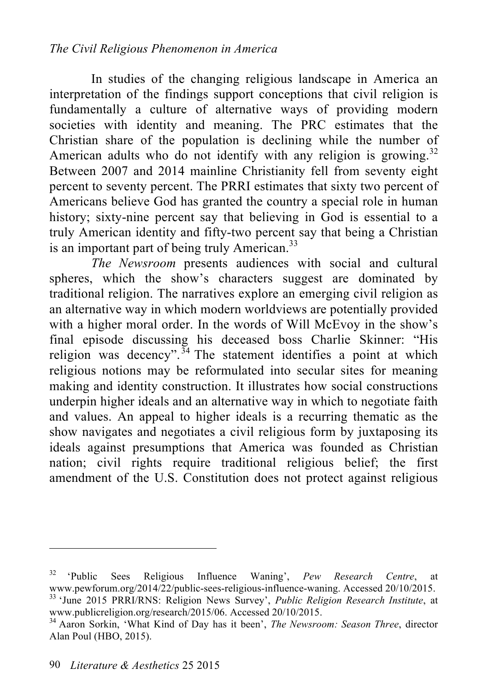In studies of the changing religious landscape in America an interpretation of the findings support conceptions that civil religion is fundamentally a culture of alternative ways of providing modern societies with identity and meaning. The PRC estimates that the Christian share of the population is declining while the number of American adults who do not identify with any religion is growing.<sup>32</sup> Between 2007 and 2014 mainline Christianity fell from seventy eight percent to seventy percent. The PRRI estimates that sixty two percent of Americans believe God has granted the country a special role in human history; sixty-nine percent say that believing in God is essential to a truly American identity and fifty-two percent say that being a Christian is an important part of being truly American.<sup>33</sup>

*The Newsroom* presents audiences with social and cultural spheres, which the show's characters suggest are dominated by traditional religion. The narratives explore an emerging civil religion as an alternative way in which modern worldviews are potentially provided with a higher moral order. In the words of Will McEvoy in the show's final episode discussing his deceased boss Charlie Skinner: "His religion was decency".<sup>34</sup> The statement identifies a point at which religious notions may be reformulated into secular sites for meaning making and identity construction. It illustrates how social constructions underpin higher ideals and an alternative way in which to negotiate faith and values. An appeal to higher ideals is a recurring thematic as the show navigates and negotiates a civil religious form by juxtaposing its ideals against presumptions that America was founded as Christian nation; civil rights require traditional religious belief; the first amendment of the U.S. Constitution does not protect against religious

<sup>&</sup>lt;sup>32</sup> 'Public Sees Religious Influence Waning', *Pew Research Centre*, at www.pewforum.org/2014/22/public-sees-religious-influence-waning. Accessed 20/10/2015. <sup>33</sup> 'June 2015 PRRI/RNS: Religion News Survey', *Public Religion Research Institute*, at www.publicreligion.org/research/2015/06. Accessed 20/10/2015.

<sup>&</sup>lt;sup>34</sup> Aaron Sorkin, 'What Kind of Day has it been', *The Newsroom: Season Three*, director Alan Poul (HBO, 2015).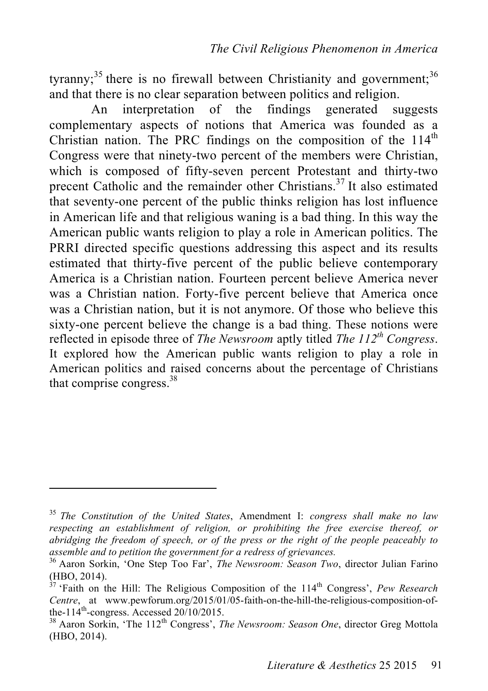tyranny;<sup>35</sup> there is no firewall between Christianity and government;<sup>36</sup> and that there is no clear separation between politics and religion.

An interpretation of the findings generated suggests complementary aspects of notions that America was founded as a Christian nation. The PRC findings on the composition of the  $114<sup>th</sup>$ Congress were that ninety-two percent of the members were Christian, which is composed of fifty-seven percent Protestant and thirty-two precent Catholic and the remainder other Christians. 37 It also estimated that seventy-one percent of the public thinks religion has lost influence in American life and that religious waning is a bad thing. In this way the American public wants religion to play a role in American politics. The PRRI directed specific questions addressing this aspect and its results estimated that thirty-five percent of the public believe contemporary America is a Christian nation. Fourteen percent believe America never was a Christian nation. Forty-five percent believe that America once was a Christian nation, but it is not anymore. Of those who believe this sixty-one percent believe the change is a bad thing. These notions were reflected in episode three of *The Newsroom* aptly titled *The 112th Congress*. It explored how the American public wants religion to play a role in American politics and raised concerns about the percentage of Christians that comprise congress.<sup>38</sup>

<sup>35</sup> *The Constitution of the United States*, Amendment I: *congress shall make no law respecting an establishment of religion, or prohibiting the free exercise thereof, or abridging the freedom of speech, or of the press or the right of the people peaceably to assemble and to petition the government for a redress of grievances.*

<sup>&</sup>lt;sup>36</sup> Aaron Sorkin, 'One Step Too Far', *The Newsroom: Season Two*, director Julian Farino (HBO, 2014).

<sup>&</sup>lt;sup>37</sup> 'Faith on the Hill: The Religious Composition of the 114<sup>th</sup> Congress', *Pew Research Centre*, at www.pewforum.org/2015/01/05-faith-on-the-hill-the-religious-composition-ofthe-114th-congress. Accessed 20/10/2015. <sup>38</sup> Aaron Sorkin, 'The 112th Congress', *The Newsroom: Season One*, director Greg Mottola

<sup>(</sup>HBO, 2014).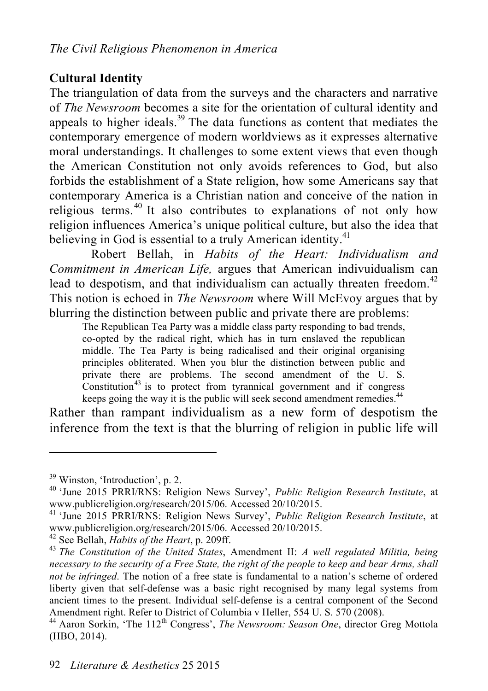### **Cultural Identity**

The triangulation of data from the surveys and the characters and narrative of *The Newsroom* becomes a site for the orientation of cultural identity and appeals to higher ideals.<sup>39</sup> The data functions as content that mediates the contemporary emergence of modern worldviews as it expresses alternative moral understandings. It challenges to some extent views that even though the American Constitution not only avoids references to God, but also forbids the establishment of a State religion, how some Americans say that contemporary America is a Christian nation and conceive of the nation in religious terms.<sup>40</sup> It also contributes to explanations of not only how religion influences America's unique political culture, but also the idea that believing in God is essential to a truly American identity.<sup>41</sup>

Robert Bellah, in *Habits of the Heart: Individualism and Commitment in American Life,* argues that American indivuidualism can lead to despotism, and that individualism can actually threaten freedom.<sup>42</sup> This notion is echoed in *The Newsroom* where Will McEvoy argues that by blurring the distinction between public and private there are problems:

The Republican Tea Party was a middle class party responding to bad trends, co-opted by the radical right, which has in turn enslaved the republican middle. The Tea Party is being radicalised and their original organising principles obliterated. When you blur the distinction between public and private there are problems. The second amendment of the U. S.  $\overline{a}$  Constitution<sup>43</sup> is to protect from tyrannical government and if congress keeps going the way it is the public will seek second amendment remedies.<sup>44</sup>

Rather than rampant individualism as a new form of despotism the inference from the text is that the blurring of religion in public life will

<sup>&</sup>lt;sup>39</sup> Winston, 'Introduction', p. 2.<br><sup>40</sup> 'June 2015 PRRI/RNS: Religion News Survey', *Public Religion Research Institute*, at

www.publicreligion.org/research/2015/06. Accessed 20/10/2015.<br><sup>41</sup> 'June 2015 PRRI/RNS: Religion News Survey', *Public Religion Research Institute*, at<br>www.publicreligion.org/research/2015/06. Accessed 20/10/2015.

<sup>&</sup>lt;sup>42</sup> See Bellah, *Habits of the Heart*, p. 209ff.<br><sup>43</sup> *The Constitution of the United States*, Amendment II: *A well regulated Militia, being necessary to the security of a Free State, the right of the people to keep and bear Arms, shall not be infringed*. The notion of a free state is fundamental to a nation's scheme of ordered liberty given that self-defense was a basic right recognised by many legal systems from ancient times to the present. Individual self-defense is a central component of the Second Amendment right. Refer to District of Columbia v Heller, 554 U. S. 570 (2008).

<sup>&</sup>lt;sup>44</sup> Aaron Sorkin, 'The 112<sup>th</sup> Congress', *The Newsroom: Season One*, director Greg Mottola (HBO, 2014).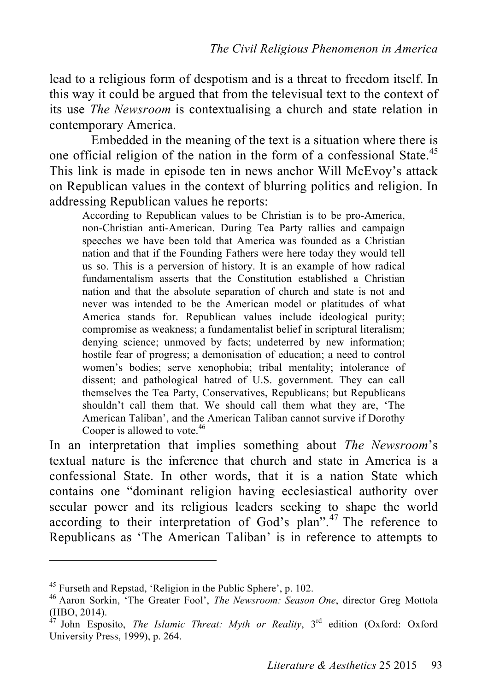lead to a religious form of despotism and is a threat to freedom itself. In this way it could be argued that from the televisual text to the context of its use *The Newsroom* is contextualising a church and state relation in contemporary America.

Embedded in the meaning of the text is a situation where there is one official religion of the nation in the form of a confessional State.<sup>45</sup> This link is made in episode ten in news anchor Will McEvoy's attack on Republican values in the context of blurring politics and religion. In addressing Republican values he reports:

According to Republican values to be Christian is to be pro-America, non-Christian anti-American. During Tea Party rallies and campaign speeches we have been told that America was founded as a Christian nation and that if the Founding Fathers were here today they would tell us so. This is a perversion of history. It is an example of how radical fundamentalism asserts that the Constitution established a Christian nation and that the absolute separation of church and state is not and never was intended to be the American model or platitudes of what America stands for. Republican values include ideological purity; compromise as weakness; a fundamentalist belief in scriptural literalism; denying science; unmoved by facts; undeterred by new information; hostile fear of progress; a demonisation of education; a need to control women's bodies; serve xenophobia; tribal mentality; intolerance of dissent; and pathological hatred of U.S. government. They can call themselves the Tea Party, Conservatives, Republicans; but Republicans shouldn't call them that. We should call them what they are, 'The American Taliban', and the American Taliban cannot survive if Dorothy Cooper is allowed to vote. 46

In an interpretation that implies something about *The Newsroom*'s textual nature is the inference that church and state in America is a confessional State. In other words, that it is a nation State which contains one "dominant religion having ecclesiastical authority over secular power and its religious leaders seeking to shape the world according to their interpretation of God's plan".<sup>47</sup> The reference to Republicans as 'The American Taliban' is in reference to attempts to

<sup>&</sup>lt;sup>45</sup> Furseth and Repstad, 'Religion in the Public Sphere', p. 102.<br><sup>46</sup> Aaron Sorkin, 'The Greater Fool', *The Newsroom: Season One*, director Greg Mottola (HBO, 2014).

<sup>47</sup> John Esposito, *The Islamic Threat: Myth or Reality*, 3rd edition (Oxford: Oxford University Press, 1999), p. 264.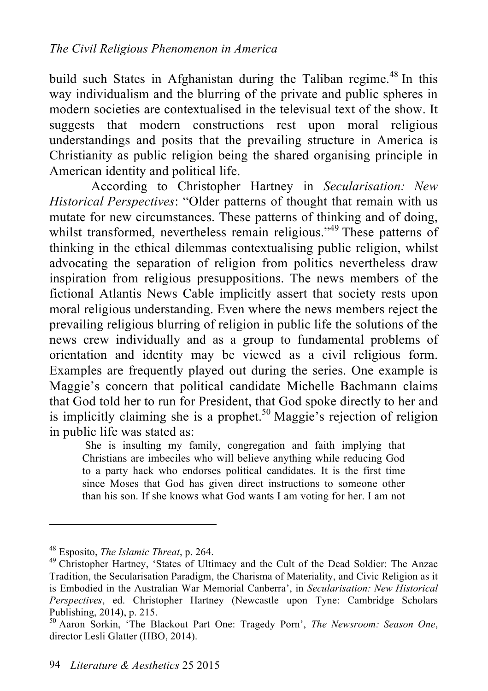build such States in Afghanistan during the Taliban regime.<sup>48</sup> In this way individualism and the blurring of the private and public spheres in modern societies are contextualised in the televisual text of the show. It suggests that modern constructions rest upon moral religious understandings and posits that the prevailing structure in America is Christianity as public religion being the shared organising principle in American identity and political life.

According to Christopher Hartney in *Secularisation: New Historical Perspectives*: "Older patterns of thought that remain with us mutate for new circumstances. These patterns of thinking and of doing, whilst transformed, nevertheless remain religious."<sup>49</sup> These patterns of thinking in the ethical dilemmas contextualising public religion, whilst advocating the separation of religion from politics nevertheless draw inspiration from religious presuppositions. The news members of the fictional Atlantis News Cable implicitly assert that society rests upon moral religious understanding. Even where the news members reject the prevailing religious blurring of religion in public life the solutions of the news crew individually and as a group to fundamental problems of orientation and identity may be viewed as a civil religious form. Examples are frequently played out during the series. One example is Maggie's concern that political candidate Michelle Bachmann claims that God told her to run for President, that God spoke directly to her and is implicitly claiming she is a prophet.<sup>50</sup> Maggie's rejection of religion in public life was stated as:

 She is insulting my family, congregation and faith implying that Christians are imbeciles who will believe anything while reducing God to a party hack who endorses political candidates. It is the first time since Moses that God has given direct instructions to someone other than his son. If she knows what God wants I am voting for her. I am not

<sup>&</sup>lt;sup>48</sup> Esposito, *The Islamic Threat*, p. 264.<br><sup>49</sup> Christopher Hartney, 'States of Ultimacy and the Cult of the Dead Soldier: The Anzac Tradition, the Secularisation Paradigm, the Charisma of Materiality, and Civic Religion as it is Embodied in the Australian War Memorial Canberra', in *Secularisation: New Historical Perspectives*, ed. Christopher Hartney (Newcastle upon Tyne: Cambridge Scholars

<sup>&</sup>lt;sup>50</sup> Aaron Sorkin, 'The Blackout Part One: Tragedy Porn', *The Newsroom: Season One*, director Lesli Glatter (HBO, 2014).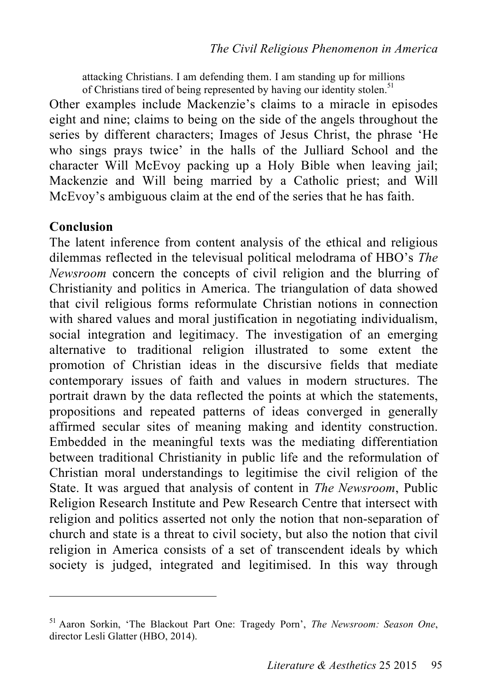attacking Christians. I am defending them. I am standing up for millions of Christians tired of being represented by having our identity stolen.<sup>51</sup>

Other examples include Mackenzie's claims to a miracle in episodes eight and nine; claims to being on the side of the angels throughout the series by different characters; Images of Jesus Christ, the phrase 'He who sings prays twice' in the halls of the Julliard School and the character Will McEvoy packing up a Holy Bible when leaving jail; Mackenzie and Will being married by a Catholic priest; and Will McEvoy's ambiguous claim at the end of the series that he has faith.

#### **Conclusion**

 $\overline{a}$ 

The latent inference from content analysis of the ethical and religious dilemmas reflected in the televisual political melodrama of HBO's *The Newsroom* concern the concepts of civil religion and the blurring of Christianity and politics in America. The triangulation of data showed that civil religious forms reformulate Christian notions in connection with shared values and moral justification in negotiating individualism, social integration and legitimacy. The investigation of an emerging alternative to traditional religion illustrated to some extent the promotion of Christian ideas in the discursive fields that mediate contemporary issues of faith and values in modern structures. The portrait drawn by the data reflected the points at which the statements, propositions and repeated patterns of ideas converged in generally affirmed secular sites of meaning making and identity construction. Embedded in the meaningful texts was the mediating differentiation between traditional Christianity in public life and the reformulation of Christian moral understandings to legitimise the civil religion of the State. It was argued that analysis of content in *The Newsroom*, Public Religion Research Institute and Pew Research Centre that intersect with religion and politics asserted not only the notion that non-separation of church and state is a threat to civil society, but also the notion that civil religion in America consists of a set of transcendent ideals by which society is judged, integrated and legitimised. In this way through

<sup>51</sup> Aaron Sorkin, 'The Blackout Part One: Tragedy Porn', *The Newsroom: Season One*, director Lesli Glatter (HBO, 2014).